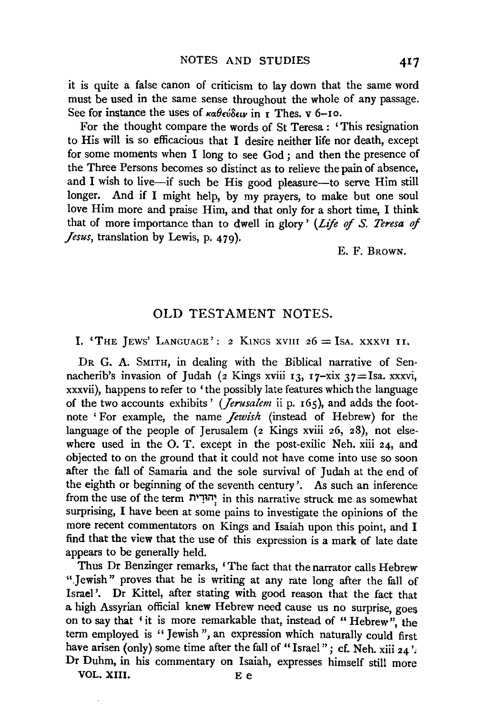it is quite a false canon of criticism to lay down that the same word must be used in the same sense throughout the whole of any passage. See for instance the uses of *καθεύδειν* in *τ* Thes. v 6-10.

For the thought compare the words of St Teresa : 'This resignation to His will is so efficacious that I desire neither life nor death, except for some moments when I long to see God ; and then the presence of the Three Persons becomes so distinct as to relieve the pain of absence, and I wish to live-if such be His good pleasure-to serve Him still longer. And if I might help, by my prayers, to make but one soul love Him more and praise Him, and that only for a short time, I think that of more importance than to dwell in glory ' *(Life of S. Teresa of Jesus,* translation by Lewis, p. 479).

E. F. BROWN.

### OLD TESTAMENT NOTES.

I. 'THE JEWS' LANGUAGE': 2 KINGS XVIII  $26 =$  ISA. XXXVI II.

DR G. A. SMITH, in dealing with the Biblical narrative of Sennacherib's invasion of Judah (2 Kings xviii 13, 17-xix 37 = Isa. xxxvi, xxxvii), happens to refer to 'the possibly late features which the language of the two accounts exhibits' *(Jerusalem* ii p. 165), and adds the footnote 'For example, the name *Jewish* (instead of Hebrew) for the language of the people of Jerusalem (2 Kings xviii 26, 28), not elsewhere used in the O. T. except in the post-exilic Neh. xiii 24, and objected to on the ground that it could not have come into use so soon after the fall of Samaria and the sole survival of Judah at the end of the eighth or beginning of the seventh century'. As such an inference from the use of the term 'הוּדְית in this narrative struck me as somewhat surprising, I have been at some pains to investigate the opinions of the more recent commentators on Kings and Isaiah upon this point, and I find that the view that the use of this expression is a mark of late date appears to be generally held.

Thus Dr Benzinger remarks, 'The fact that the narrator calls Hebrew ".Jewish" proves that he is writing at any rate long after the fall of Israel '. Dr Kittel, after stating with good reason that the fact that a high Assyrian official knew Hebrew need cause us no surprise, goes on to say that 'it is more remarkable that, instead of "Hebrew", the term employed is "Jewish", an expression which naturally could first have arisen (only) some time after the fall of "Israel"; cf. Neh. xiii  $24$ ': Dr Duhm, in his commentary on Isaiah, expresses himself still more VOL. XIII. E e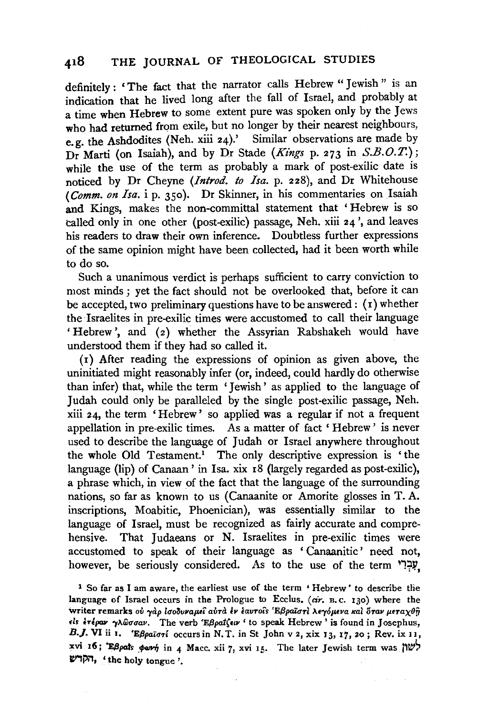definitely: 'The fact that the narrator calls Hebrew" Jewish" is an indication that he lived long after the fall of Israel, and probably at a time when Hebrew to some extent pure was spoken only by the Jews who had returned from exile, but no longer by their nearest neighbours, e.g. the Ashdodites (Neh. xiii 24).' Similar observations are made by Dr Marti (on Isaiah), and by Dr Stade *(Kings* p. 273 in *S.B.O.T.);*  while the use of the term as probably a mark of post-exilic date is noticed by Dr Cheyne *(Introd. to Isa.* p. 228), and Dr Whitehouse ( *Comm. on Isa.* i p. 350). Dr Skinner, in his commentaries on Isaiah and Kings, makes the non-committal statement that 'Hebrew is so called only in one other (post-exilic) passage, Neh. xiii 24 ', and leaves his readers to draw their own inference. Doubtless further expressions of the same opinion might have been collected, had it been worth while to do so.

Such a unanimous verdict is perhaps sufficient to carry conviction to most minds ; yet the fact should not be overlooked that, before it can be accepted, two preliminary questions have to be answered :  $(1)$  whether the Israelites in pre-exilic times were accustomed to call their language 'Hebrew', and (z) whether the Assyrian Rabshakeh would have understood them if they had so called it.

(r) After reading the expressions of opinion as given above, the uninitiated might reasonably infer (or, indeed, could hardly do otherwise than infer) that, while the term 'Jewish' as applied to the language of Judah could only be paralleled by the single post·exilic passage, Neh. xiii 24, the term ' Hebrew' so applied was a regular if not a frequent appellation in pre-exilic times. As a matter of fact ' Hebrew ' is never used to describe the language of Judah or Israel anywhere throughout the whole Old Testament.<sup>1</sup> The only descriptive expression is 'the language (lip) of Canaan' in Isa. xix r8 (largely regarded as post-exilic), a phrase which, in view of the fact that the language of the surrounding nations, so far as known to us (Canaanite or Amorite glosses in T. A. inscriptions, Moabitic, Phoenician), was essentially similar to the language of Israel, must be recognized as fairly accurate and comprehensive. That Judaeans or N. Israelites in pre-exilic times were accustomed to speak of their language as 'Canaanitic' need not, however, be seriously considered. As to the use of the term 'עְבָרִי

1 So far as I am aware, the earliest use of the term • Hebrew' to describe the language of Israel occurs in the Prologue to Ecclus. ( *cir.* n. c. I 30) where the writer remarks ού γαρ ισοδυναμεί αυτά έν έαυτοίs 'Εβραϊστι λεγόμενα και όταν μεταχθή *ds* ~Tipav "fAWCTCTav. The verb 'E{3pat(•w 'to speak Hebrew' is found in Josephus, B. J. VI ii I. 'E $\beta \rho a \bar{i} \sigma \tau i$  occurs in N. T. in St John v 2, xix 13, 17, 20; Rev. ix 11, xvi 16; 'EBpats part in 4 Macc. xii 7, xvi 15. The later Jewish term was  $\mathcal{W}$ W1i'i1, ' the holy tongue '.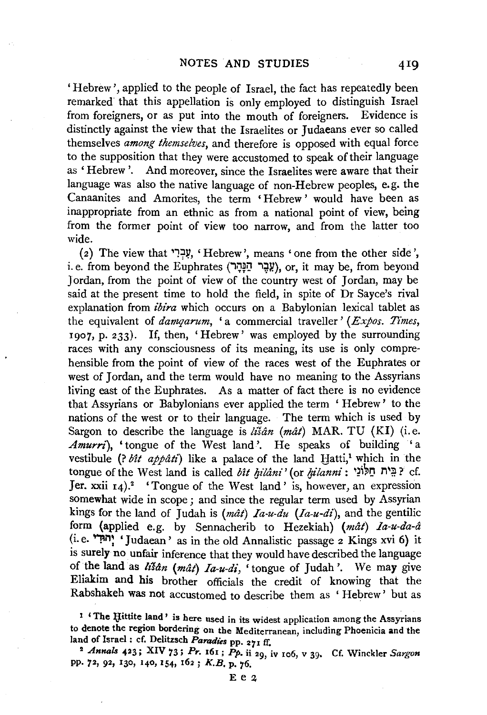'Hebrew', applied to the people of Israel, the fact has repeatedly been remarked that this appellation is only employed to distinguish Israel from foreigners, or as put into the mouth of foreigners. Evidence is distinctly against the view that the Israelites or Judaeans ever so called themselves *among themselves,* and therefore is opposed with equal force to the supposition that they were accustomed to speak of their language as 'Hebrew'. And moreover, since the Israelites were aware that their language was also the native language of non-Hebrew peoples, e.g. the Canaanites and Amorites, the term ' Hebrew ' would have been as inappropriate from an ethnic as from a national point of view, being from the former point of view too narrow, and from the latter too wide.

(2) The view that ' $1.7$ . 'Hebrew', means ' one from the other side', i.e. from beyond the Euphrates (שְבֵּר חַגְּרָה), or, it may be, from beyond Jordan, from the point of view of the country west of Jordan, may be said at the present time to hold the field, in spite of Dr Sayee's rival explanation from *ibira* which occurs on a Babylonian lexical tablet as the equivalent of *damqarum*, 'a commercial traveller' *(Expos. Times,* 1907, p. 233). If, then, 'Hebrew' was employed by the surrounding races with any consciousness of its meaning, its use is only comprehensible from the point of view of the races west of the Euphrates or west of Jordan, and the term would have no meaning to the Assyrians living east of the Euphrates. As a matter of fact there is no evidence that Assyrians or Babylonians ever applied the term ' Hebrew' to the nations of the west or to their language. The term which is used by Sargon to describe the language is *lisan (mat)* MAR. TU (KI) (i.e. *Amurri*), 'tongue of the West land'. He speaks of building 'a vestibule (? *bit appâti*) like a palace of the land Hatti,<sup>1</sup> which in the tongue of the West land is called *bit hilâni'* (or *hilanni* : 'בֵּית חַלּוֹנַי cf. Jer. xxii  $14$ ).<sup>2</sup> 'Tongue of the West land' is, however, an expression somewhat wide in scope ; and since the regular term used by Assyrian kings for the land of Judah is *(mat) Ia-u-du (Ia-u-dz'),* and the gentilic form (applied e.g. by Sennacherib to Hezekiah)  $(m\hat{a}t)$  *Ia-u-da-â* (i.e. ~n: 'Judaean' as in the old Annalistic passage 2 Kings xvi 6) it is surely no unfair inference that they would have described the language of the land as *lt'san (mat) Ia-u-di,* 'tongue of Judah '. We may give Eliakim and his brother officials the credit of knowing that the Rabshakeh was not accustomed to describe them as ' Hebrew' but as

1 'The Hittite land' is here used in its widest application among the Assyrians to denote the region bordering on the Mediterranean, including Phoenicia and the land of Israel: cf. Delitzsch Paradies pp. 271 ff.

land of Israel : cf. Delitzsch *Paradies* pp. 2 <sup>71</sup>If. ' 2 *Annals* 423; XIV 73 ; *Pr.* 161 ; Pp. ii 29, iv 106, v 39• Cf. Winckler *Sargon*  pp. 72, 92, 130, 140, 154, 162; *K.B. p. 76.*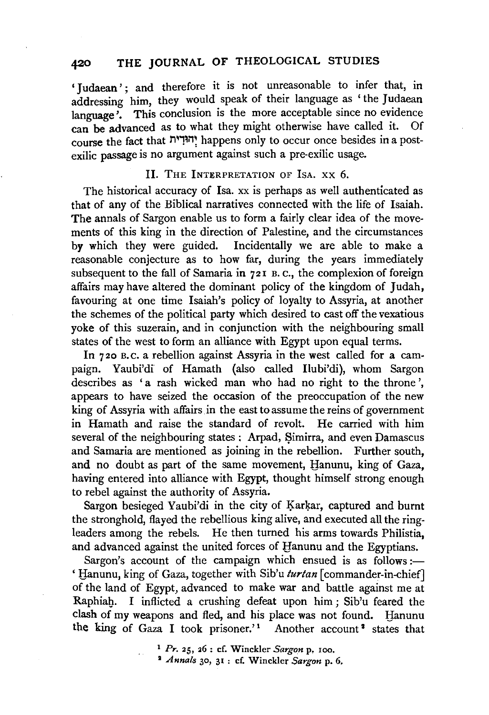## **420 THE** JOURNAL OF THEOLOGICAL STUDIES

'Judaean'; and therefore it is not unreasonable to infer that, in addressing him, they would speak of their language as 'the Judaean language<sup>7</sup>. This conclusion is the more acceptable since no evidence can be advanced as to what they might otherwise have called it. Of course the fact that j~n; happens only to occur once besides in a postexilic passage is no argument against such a pre-exilic usage.

### Il. THE INTERPRETATION OF ISA. XX 6.

The historical accuracy of Isa. xx is perhaps as well authenticated as that of any of the Biblical narratives connected with the life of Isaiah. The annals of Sargon enable us to form a fairly clear idea of the movements of this king in the direction of Palestine, and the circumstances by which they were guided. Incidentally we are able to make a reasonable conjecture as to how far, during the years immediately subsequent to the fall of Samaria in 721 B. c., the complexion of foreign affairs may have altered the dominant policy of the kingdom of Judah, favouring at one time Isaiah's policy of loyalty to Assyria, at another the schemes of the political party which desired to cast off the vexatious yoke of this suzerain, and in conjunction with the neighbouring small states of the west to form an alliance with Egypt upon equal terms.

In 7 *zo* B. c. a rebellion against Assyria in the west called for a campaign. Yaubi'di of Hamath (also called Ilubi'di), whom Sargon describes as 'a rash wicked man who had no right to the throne', appears to have seized the occasion of the preoccupation of the new king of Assyria with affairs in the east to assume the reins of government in Hamath and raise the standard of revolt. He carried with him several of the neighbouring states : Arpad, Simirra, and even Damascus and Samaria are mentioned as joining in the rebellion. Further south, and no doubt as part of the same movement, Hanunu, king of Gaza, having entered into alliance with Egypt, thought himself strong enough to rebel against the authority of Assyria.

Sargon besieged Yaubi'di in the city of Karkar, captured and burnt the stronghold, flayed the rebellious king alive, and executed all the ringleaders among the rebels. He then turned his arms towards Philistia, and advanced against the united forces of Hanunu and the Egyptians.

Sargon's account of the campaign which ensued is as follows:-' tlanunu, king of Gaza, together with Sib'u *turtan* [commander-in-chief] of the land of Egypt, advanced to make war and battle against me at Raphiah. I inflicted a crushing defeat upon him; Sib'u feared the clash of my weapons and fled, and his place was not found. Hanunu the king of Gaza I took prisoner.'<sup>1</sup> Another account<sup>2</sup> states that

<sup>1</sup>*Pr.* 25, 26 : cf. Winckler *Sargon* p, roo. 1 *Annals* 30, 31 : cf. Winckler *Sargon* p. 6.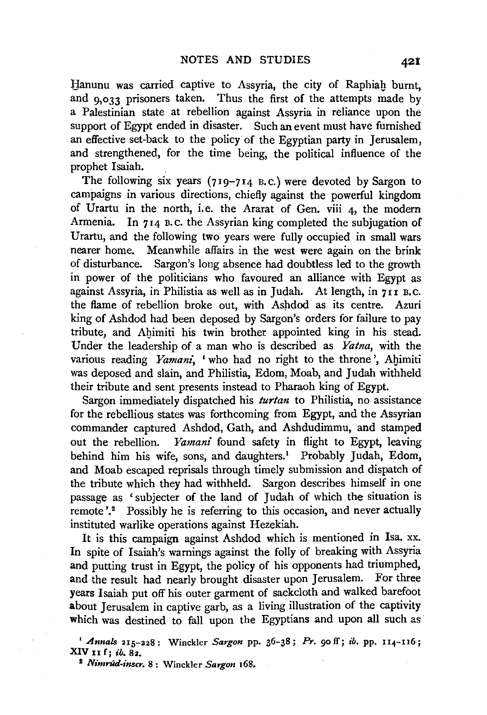Hanunu was carried captive to Assyria, the city of Raphiab burnt, and  $9.033$  prisoners taken. Thus the first of the attempts made by a Palestinian state at rebellion against Assyria in reliance upon the support of Egypt ended in disaster. Such an event must have furnished an effective set-back to the policy of the Egyptian party in Jerusalem, and strengthened, for the time being, the political influence of the prophet Isaiah.

The following six years (719-714 B.C.) were devoted by Sargon to campaigns in various directions, chiefly against the powerful kingdom of Urartu in the north, i.e. the Ararat of Gen. viii 4, the modern Armenia. In 714 B. C. the Assyrian king completed the subjugation of Urartu, and the following two years were fully occupied in small wars nearer home. Meanwhile affairs in the west were again on the brink of disturbance. Sargon's long absence had doubtless led to the growth in power of the politicians who favoured an alliance with Egypt as against Assyria, in Philistia as well as in Judah. At length, in  $7rI$  B.C. the flame of rebellion broke out, with Aspdod as its centre. Azuri king of Ashdod had been deposed by Sargon's orders for failure to pay tribute, and Ahimiti his twin brother appointed king in his stead. Under the leadership of a man who is described as *Yatna,* with the various reading *Yamani*, 'who had no right to the throne', Ahimiti was deposed and slain, and Philistia, Edom, Moab, and Judah withheld their tribute and sent presents instead to Pharaoh king of Egypt.

Sargon immediately dispatched his *turtan* to Philistia, no assistance for the rebellious states was forthcoming from Egypt, and the Assyrian commander captured Ashdod, Gath, and Ashdudimmu, and stamped out the rebellion. *Yamani* found safety in flight to Egypt, leaving behind him his wife, sons, and daughters.<sup>1</sup> Probably Judah, Edom, and Moab escaped reprisals through timely submission and dispatch of the tribute which they had withheld. Sargon describes himself in one passage as 'subjecter of the land of Judah of which the situation is remote'.<sup>2</sup> Possibly he is referring to this occasion, and never actually instituted warlike operations against Hezekiah.

It is this campaign against Ashdod which is mentioned in lsa. xx. In spite of Isaiah's warnings against the folly of breaking with Assyria and putting trust in Egypt, the policy of his opponents had triumphed, and the result had nearly brought disaster upon Jerusalem. For three years Isaiah put off his outer garment of sackcloth and walked barefoot about Jerusalem in captive garb, as a living illustration of the captivity which was destined to fall upon the Egyptians and upon all such as

' *Annals* 215-228: Winckler *Sargon* pp. 36-38; *Pr.* 90 ff; *ib.* pp. II.4-116; XIV 11 f; *ib.* 82.

' *Nimrnd-inscr.* 8: Winckler *Sargon* 168.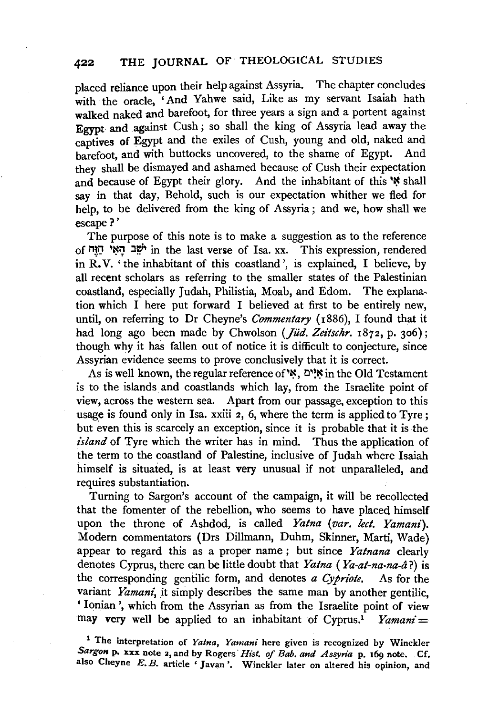# **422 THE JOURNAL** OF THEOLOGICAL STUDIES

placed reliance upon their help against Assyria. The chapter concludes with the oracle, 'And Yahwe said, Like as my servant Isaiah hath walked naked and barefoot, for three years a sign and a portent against Egypt and against Cush ; so shall the king of Assyria lead away the captives of Egypt and the exiles of Cush, young and old, naked and barefoot, and with buttocks uncovered, to the shame of Egypt. And they shall be dismayed and ashamed because of Cush their expectation and because of Egypt their glory. And the inhabitant of this <sup>\*</sup> shall say in that day, Behold, such is our expectation whither we fled for help, to be delivered from the king of Assyria ; and we, how shall we escape?'

The purpose of this note is to make a suggestion as to the reference of M~IJ '~0 :1~<sup>1</sup>in the last ven1e of I sa. xx. This expression, rendered in R. V. 'the inhabitant of this coastland ', is explained, I believe, by all recent scholars as referring to the smaller states of the Palestinian coastland, especially Judah, Philistia, Moab, and Edom. The explanation which I here put forward I believed at first to be entirely new, until, on referring to Dr Cheyne's *Commentary* (1886), I found that it had long ago been made by Chwolson (*Jüd. Zeitschr.* 1872, p. 306); though why it has fallen out of notice it is difficult to conjecture, since Assyrian evidence seems to prove conclusively that it is correct.

As is well known, the regular reference of  $\aleph$ ,  $\aleph'$  in the Old Testament is to the islands and coastlands which lay, from the Israelite point of view, across the western sea. Apart from our passage, exception to this usage is found only in Isa. xxiii 2, 6, where the term is applied to Tyre; but even this is scarcely an exception, since it is probable that it is the *island* of Tyre which the writer has in mind. Thus the application of the term to the coastland of Palestine, inclusive of Judah where Isaiah himself is situated, is at least very unusual if not unparalleled, and requires substantiation.

Turning to Sargon's account of the campaign, it will be recollected that the fomenter of the rebellion, who seems to have placed himself upon the throne of Ashdod, is called *Yatna (var. lect. Yamani).*  Modern commentators (Drs Dillmann, Duhm, Skinner, Marti, Wade) appear to regard this as a proper name ; but since *Yatnana* clearly denotes Cyprus, there can be little doubt that *Yatna* ( *Ya-at-na-na-a* ?) is the corresponding gentilic form, and denotes *a Cypriote*. As for the variant Yamani, it simply describes the same man by another gentilic. ' Ionian ', which from the Assyrian as from the Israelite point of view may very well be applied to an inhabitant of Cyprus.<sup>1</sup> *Yamani* =

1 The interpretation of *Yatna, Yamani* here given is recognized by Winckler Sargon p. xxx note 2, and by Rogers *Hist. of Bab. and Assyria* p. 169 note. Cf. also Cheyne E. B. article 'Javan'. Winckler later on altered his opinion, and